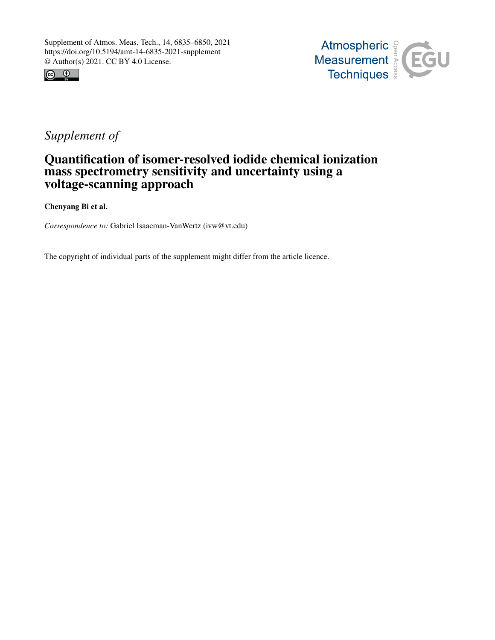



# *Supplement of*

# Quantification of isomer-resolved iodide chemical ionization mass spectrometry sensitivity and uncertainty using a voltage-scanning approach

Chenyang Bi et al.

*Correspondence to:* Gabriel Isaacman-VanWertz (ivw@vt.edu)

The copyright of individual parts of the supplement might differ from the article licence.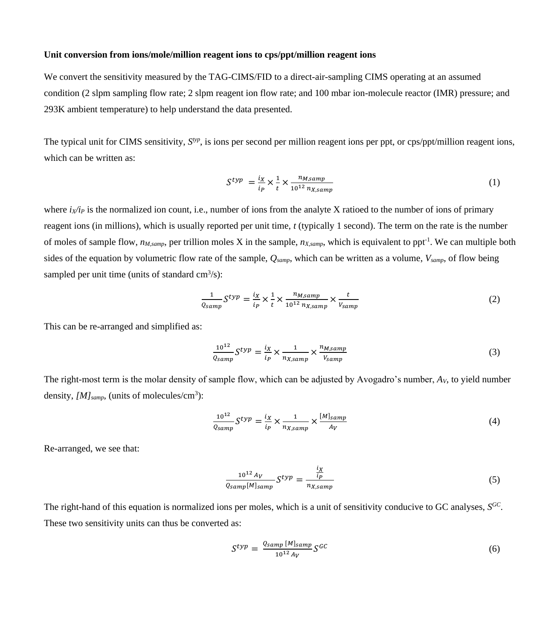#### **Unit conversion from ions/mole/million reagent ions to cps/ppt/million reagent ions**

We convert the sensitivity measured by the TAG-CIMS/FID to a direct-air-sampling CIMS operating at an assumed condition (2 slpm sampling flow rate; 2 slpm reagent ion flow rate; and 100 mbar ion-molecule reactor (IMR) pressure; and 293K ambient temperature) to help understand the data presented.

The typical unit for CIMS sensitivity,  $S<sup>typ</sup>$ , is ions per second per million reagent ions per ppt, or cps/ppt/million reagent ions, which can be written as:

$$
S^{typ} = \frac{i_X}{i_P} \times \frac{1}{t} \times \frac{n_{M,samp}}{10^{12} n_{X,samp}} \tag{1}
$$

where  $i_X/i_P$  is the normalized ion count, i.e., number of ions from the analyte X ratioed to the number of ions of primary reagent ions (in millions), which is usually reported per unit time, *t* (typically 1 second). The term on the rate is the number of moles of sample flow, *nM,samp*, per trillion moles X in the sample, *nX,samp*, which is equivalent to ppt-1 . We can multiple both sides of the equation by volumetric flow rate of the sample, *Qsamp*, which can be written as a volume, *Vsamp*, of flow being sampled per unit time (units of standard  $\text{cm}^3\text{/s}$ ):

$$
\frac{1}{Q_{samp}} S^{typ} = \frac{i_X}{i_P} \times \frac{1}{t} \times \frac{n_{M,samp}}{10^{12} n_{X,samp}} \times \frac{t}{V_{samp}}
$$
(2)

This can be re-arranged and simplified as:

$$
\frac{10^{12}}{Q_{samp}} S^{typ} = \frac{i_X}{i_P} \times \frac{1}{n_{X,samp}} \times \frac{n_{M,samp}}{V_{samp}}
$$
(3)

The right-most term is the molar density of sample flow, which can be adjusted by Avogadro's number, *AV*, to yield number density, *[M]samp,* (units of molecules/cm<sup>3</sup> ):

$$
\frac{10^{12}}{Q_{samp}} S^{typ} = \frac{i_X}{i_P} \times \frac{1}{n_{X,samp}} \times \frac{[M]_{samp}}{A_V}
$$
(4)

Re-arranged, we see that:

$$
\frac{10^{12} A_V}{Q_{samp}[M]_{samp}} S^{typ} = \frac{\frac{i_X}{i_P}}{n_{X,samp}} \tag{5}
$$

The right-hand of this equation is normalized ions per moles, which is a unit of sensitivity conducive to GC analyses, *S GC* . These two sensitivity units can thus be converted as:

$$
S^{typ} = \frac{Q_{samp} [M]_{samp}}{10^{12} A_V} S^{GC} \tag{6}
$$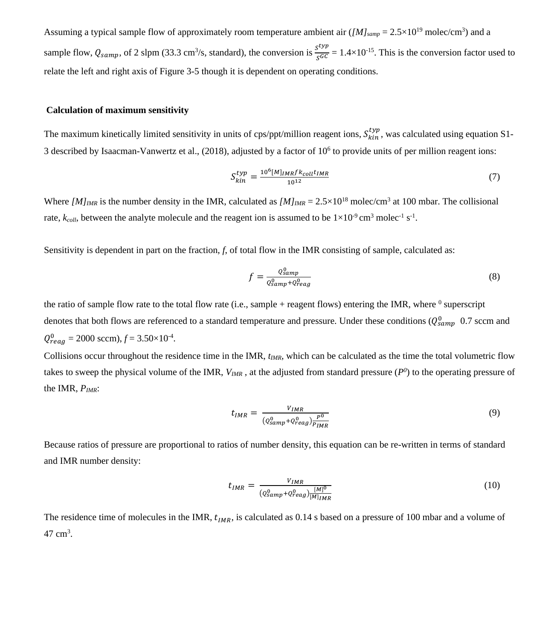Assuming a typical sample flow of approximately room temperature ambient air  $([M]_{\text{samp}} = 2.5 \times 10^{19} \text{ molec/cm}^3)$  and a sample flow,  $Q_{\text{samp}}$ , of 2 slpm (33.3 cm<sup>3</sup>/s, standard), the conversion is  $\frac{s^{typ}}{s^{GC}} = 1.4 \times 10^{-15}$ . This is the conversion factor used to relate the left and right axis of Figure 3-5 though it is dependent on operating conditions.

#### **Calculation of maximum sensitivity**

The maximum kinetically limited sensitivity in units of cps/ppt/million reagent ions,  $S_{kin}^{typ}$ , was calculated using equation S1-3 described by Isaacman-Vanwertz et al.,  $(2018)$ , adjusted by a factor of  $10<sup>6</sup>$  to provide units of per million reagent ions:

$$
S_{kin}^{typ} = \frac{10^6 [M]_{IMR} f k_{coll} t_{IMR}}{10^{12}}
$$
 (7)

Where  $[M]_{IMR}$  is the number density in the IMR, calculated as  $[M]_{IMR} = 2.5 \times 10^{18}$  molec/cm<sup>3</sup> at 100 mbar. The collisional rate,  $k_{coll}$ , between the analyte molecule and the reagent ion is assumed to be  $1 \times 10^{-9}$  cm<sup>3</sup> molec<sup>-1</sup> s<sup>-1</sup>.

Sensitivity is dependent in part on the fraction, *f*, of total flow in the IMR consisting of sample, calculated as:

$$
f = \frac{Q_{samp}^0}{Q_{samp}^0 + Q_{reag}^0} \tag{8}
$$

the ratio of sample flow rate to the total flow rate (i.e., sample  $+$  reagent flows) entering the IMR, where  $0$  superscript denotes that both flows are referenced to a standard temperature and pressure. Under these conditions ( $Q_{samp}^0$  0.7 sccm and  $Q_{reag}^0$  = 2000 sccm),  $f$  = 3.50×10<sup>-4</sup>.

Collisions occur throughout the residence time in the IMR, *tIMR*, which can be calculated as the time the total volumetric flow takes to sweep the physical volume of the IMR,  $V_{IMR}$ , at the adjusted from standard pressure  $(P^0)$  to the operating pressure of the IMR, *PIMR*:

$$
t_{IMR} = \frac{V_{IMR}}{(Q_{samp}^0 + Q_{reag}^0) \frac{P^0}{P_{IMR}}}
$$
\n
$$
\tag{9}
$$

Because ratios of pressure are proportional to ratios of number density, this equation can be re-written in terms of standard and IMR number density:

$$
t_{IMR} = \frac{V_{IMR}}{(Q_{samp}^0 + Q_{reag}^0) \frac{[M]^0}{[M]_{IMR}}}
$$
(10)

The residence time of molecules in the IMR,  $t_{IMR}$ , is calculated as 0.14 s based on a pressure of 100 mbar and a volume of 47 cm<sup>3</sup>.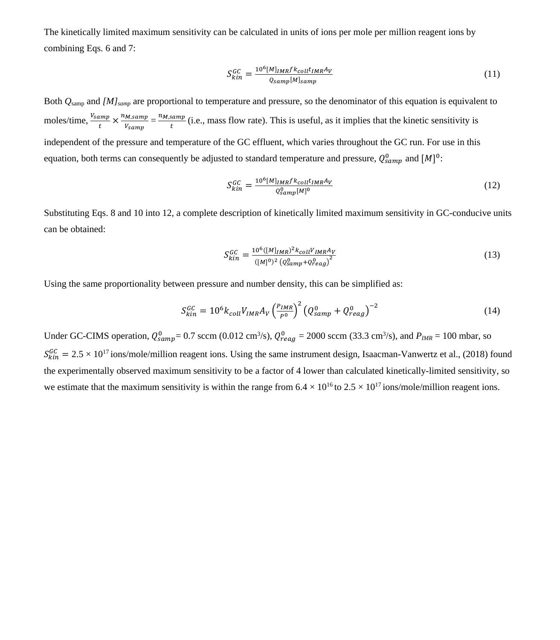The kinetically limited maximum sensitivity can be calculated in units of ions per mole per million reagent ions by combining Eqs. 6 and 7:

$$
S_{kin}^{GC} = \frac{10^6 [M]_{IMR} f k_{coll} t_{IMR} A_V}{Q_{samp} [M]_{samp}}
$$
\n(11)

Both *Q*samp and *[M]samp* are proportional to temperature and pressure, so the denominator of this equation is equivalent to moles/time,  $\frac{V_{samp}}{t}$  $\frac{amp}{t} \times \frac{n_{M,samp}}{V_{samp}}$  $\frac{M,samp}{V_{Samp}} = \frac{n_{M,samp}}{t}$  $\frac{sump}{t}$  (i.e., mass flow rate). This is useful, as it implies that the kinetic sensitivity is independent of the pressure and temperature of the GC effluent, which varies throughout the GC run. For use in this equation, both terms can consequently be adjusted to standard temperature and pressure,  $Q_{samp}^0$  and  $[M]^0$ :

$$
S_{kin}^{GC} = \frac{10^6 [M]_{IMR} f k_{coll} t_{IMR} A_V}{Q_{Samp}^0 [M]^0}
$$
\n(12)

Substituting Eqs. 8 and 10 into 12, a complete description of kinetically limited maximum sensitivity in GC-conducive units can be obtained:

$$
S_{kin}^{GC} = \frac{10^6 ([M]_{IMR})^2 k_{coll} V_{IMR} A_V}{([M]^{0})^2 (Q_{samp}^0 + Q_{reag}^0)^2}
$$
(13)

Using the same proportionality between pressure and number density, this can be simplified as:

$$
S_{kin}^{GC} = 10^6 k_{coll} V_{IMR} A_V \left(\frac{P_{IMR}}{P^0}\right)^2 \left(Q_{samp}^0 + Q_{reag}^0\right)^{-2} \tag{14}
$$

Under GC-CIMS operation,  $Q_{\text{ samp}}^0 = 0.7$  sccm (0.012 cm<sup>3</sup>/s),  $Q_{\text{req}}^0 = 2000$  sccm (33.3 cm<sup>3</sup>/s), and  $P_{\text{IMR}} = 100$  mbar, so  $S_{kin}^{GC} = 2.5 \times 10^{17}$  ions/mole/million reagent ions. Using the same instrument design, Isaacman-Vanwertz et al., (2018) found the experimentally observed maximum sensitivity to be a factor of 4 lower than calculated kinetically-limited sensitivity, so we estimate that the maximum sensitivity is within the range from  $6.4 \times 10^{16}$  to  $2.5 \times 10^{17}$  ions/mole/million reagent ions.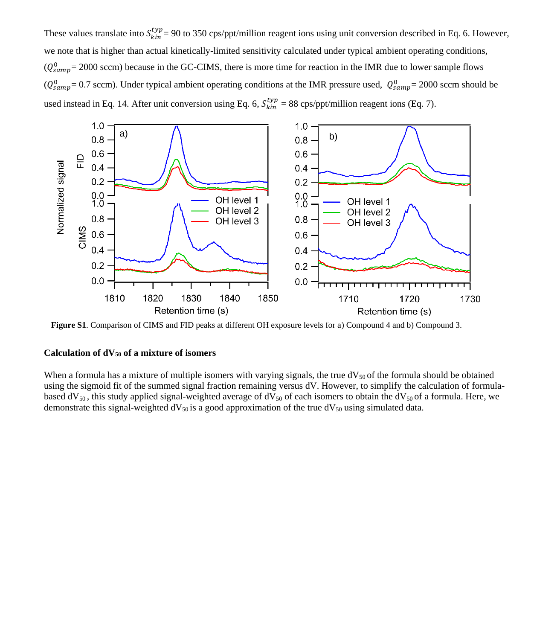These values translate into  $S_{kin}^{typ} = 90$  to 350 cps/ppt/million reagent ions using unit conversion described in Eq. 6. However, we note that is higher than actual kinetically-limited sensitivity calculated under typical ambient operating conditions,  $(Q_{samp}^0=2000 \text{ sccm})$  because in the GC-CIMS, there is more time for reaction in the IMR due to lower sample flows  $(Q_{\text{samp}}^0 = 0.7 \text{ sccm})$ . Under typical ambient operating conditions at the IMR pressure used,  $Q_{\text{samp}}^0 = 2000 \text{ sccm}$  should be used instead in Eq. 14. After unit conversion using Eq. 6,  $S_{kin}^{typ} = 88$  cps/ppt/million reagent ions (Eq. 7).



**Figure S1**. Comparison of CIMS and FID peaks at different OH exposure levels for a) Compound 4 and b) Compound 3.

### **Calculation of dV<sup>50</sup> of a mixture of isomers**

When a formula has a mixture of multiple isomers with varying signals, the true  $dV_{50}$  of the formula should be obtained using the sigmoid fit of the summed signal fraction remaining versus dV. However, to simplify the calculation of formulabased  $dV_{50}$ , this study applied signal-weighted average of  $dV_{50}$  of each isomers to obtain the  $dV_{50}$  of a formula. Here, we demonstrate this signal-weighted  $dV_{50}$  is a good approximation of the true  $dV_{50}$  using simulated data.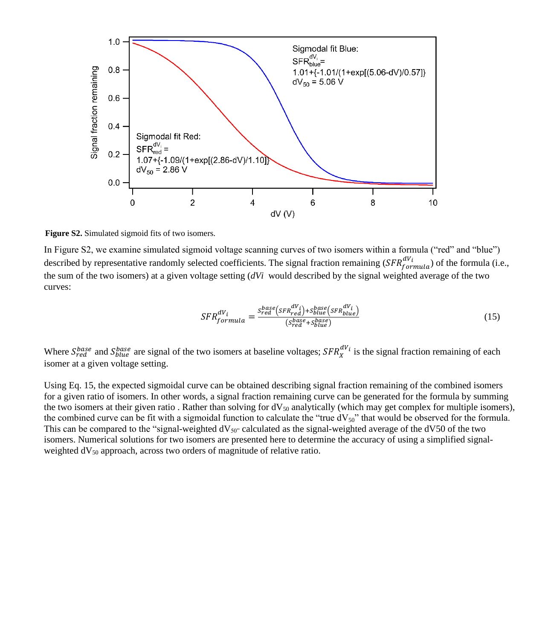

**Figure S2.** Simulated sigmoid fits of two isomers.

In Figure S2, we examine simulated sigmoid voltage scanning curves of two isomers within a formula ("red" and "blue") described by representative randomly selected coefficients. The signal fraction remaining  $(SFR^{dV_i}_{formula})$  of the formula (i.e., the sum of the two isomers) at a given voltage setting (*dVi* would described by the signal weighted average of the two curves:

$$
SFR_{formula}^{dV_i} = \frac{s_{red}^{base}(s_{FR}^{dV_i}) + s_{blue}^{base}(s_{FR}^{dV_i})}{(s_{red}^{base} + s_{blue}^{base})}
$$
(15)

Where  $S_{red}^{base}$  and  $S_{blue}^{base}$  are signal of the two isomers at baseline voltages;  $SFR_X^{dV_i}$  is the signal fraction remaining of each isomer at a given voltage setting.

Using Eq. 15, the expected sigmoidal curve can be obtained describing signal fraction remaining of the combined isomers for a given ratio of isomers. In other words, a signal fraction remaining curve can be generated for the formula by summing the two isomers at their given ratio. Rather than solving for  $dV_{50}$  analytically (which may get complex for multiple isomers), the combined curve can be fit with a sigmoidal function to calculate the "true  $dV_{50}$ " that would be observed for the formula. This can be compared to the "signal-weighted  $dV_{50}$ " calculated as the signal-weighted average of the dV50 of the two isomers. Numerical solutions for two isomers are presented here to determine the accuracy of using a simplified signalweighted  $dV_{50}$  approach, across two orders of magnitude of relative ratio.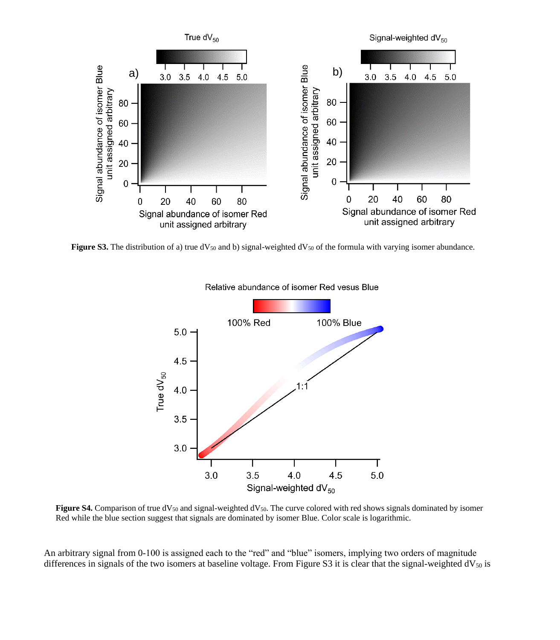

**Figure S3.** The distribution of a) true  $dV_{50}$  and b) signal-weighted  $dV_{50}$  of the formula with varying isomer abundance.



Relative abundance of isomer Red vesus Blue

Figure S4. Comparison of true dV<sub>50</sub> and signal-weighted dV<sub>50</sub>. The curve colored with red shows signals dominated by isomer Red while the blue section suggest that signals are dominated by isomer Blue. Color scale is logarithmic.

An arbitrary signal from 0-100 is assigned each to the "red" and "blue" isomers, implying two orders of magnitude differences in signals of the two isomers at baseline voltage. From Figure S3 it is clear that the signal-weighted  $dV_{50}$  is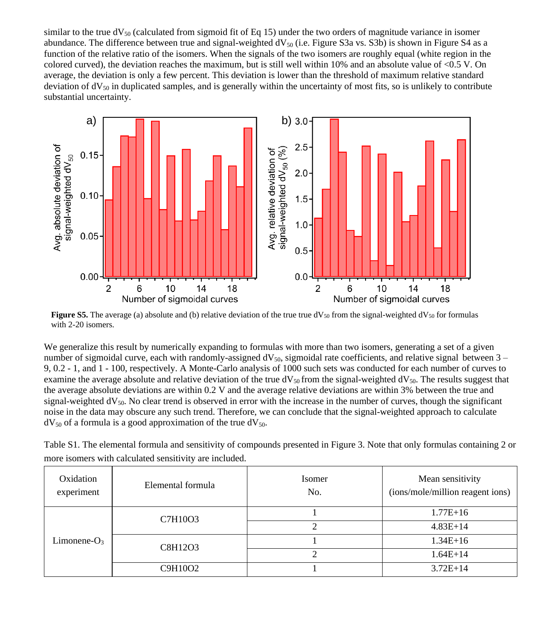similar to the true  $dV_{50}$  (calculated from sigmoid fit of Eq 15) under the two orders of magnitude variance in isomer abundance. The difference between true and signal-weighted  $dV_{50}$  (i.e. Figure S3a vs. S3b) is shown in Figure S4 as a function of the relative ratio of the isomers. When the signals of the two isomers are roughly equal (white region in the colored curved), the deviation reaches the maximum, but is still well within 10% and an absolute value of <0.5 V. On average, the deviation is only a few percent. This deviation is lower than the threshold of maximum relative standard deviation of  $dV_{50}$  in duplicated samples, and is generally within the uncertainty of most fits, so is unlikely to contribute substantial uncertainty.



**Figure S5.** The average (a) absolute and (b) relative deviation of the true true  $dV_{50}$  from the signal-weighted  $dV_{50}$  for formulas with 2-20 isomers.

We generalize this result by numerically expanding to formulas with more than two isomers, generating a set of a given number of sigmoidal curve, each with randomly-assigned  $dV_{50}$ , sigmoidal rate coefficients, and relative signal between 3 – 9, 0.2 - 1, and 1 - 100, respectively. A Monte-Carlo analysis of 1000 such sets was conducted for each number of curves to examine the average absolute and relative deviation of the true  $dV_{50}$  from the signal-weighted  $dV_{50}$ . The results suggest that the average absolute deviations are within 0.2 V and the average relative deviations are within 3% between the true and signal-weighted  $dV_{50}$ . No clear trend is observed in error with the increase in the number of curves, though the significant noise in the data may obscure any such trend. Therefore, we can conclude that the signal-weighted approach to calculate  $dV_{50}$  of a formula is a good approximation of the true  $dV_{50}$ .

Table S1. The elemental formula and sensitivity of compounds presented in Figure 3. Note that only formulas containing 2 or more isomers with calculated sensitivity are included.

| Oxidation<br>experiment | Elemental formula | <b>Isomer</b><br>No. | Mean sensitivity<br>(ions/mole/million reagent ions) |
|-------------------------|-------------------|----------------------|------------------------------------------------------|
| $Limonene-O3$           | C7H10O3           |                      | $1.77E + 16$                                         |
|                         |                   |                      | $4.83E+14$                                           |
|                         | C8H12O3           |                      | $1.34E+16$                                           |
|                         |                   |                      | $1.64E+14$                                           |
|                         | C9H10O2           |                      | $3.72E+14$                                           |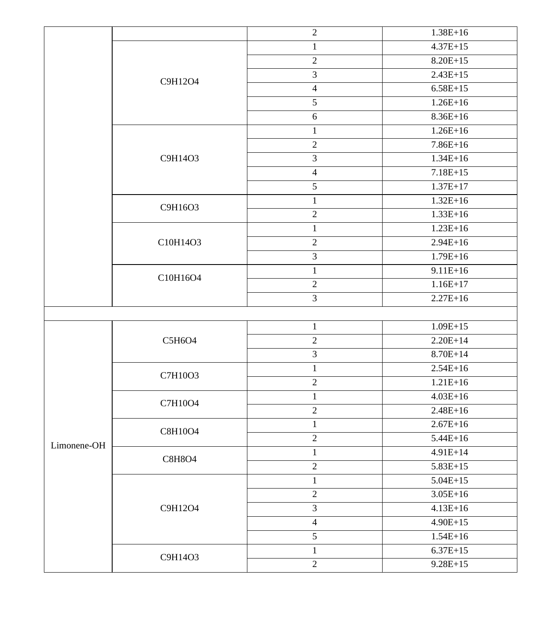|             |               | $\overline{2}$   | $1.38E+16$   |
|-------------|---------------|------------------|--------------|
|             |               | $\,1$            | $4.37E+15$   |
|             |               | $\sqrt{2}$       | $8.20E + 15$ |
|             | C9H12O4       | $\overline{3}$   | $2.43E+15$   |
|             |               | $\overline{4}$   | $6.58E+15$   |
|             |               | 5                | $1.26E+16$   |
|             |               | $\sqrt{6}$       | $8.36E+16$   |
|             |               | $\,1$            | $1.26E+16$   |
|             |               | $\sqrt{2}$       | $7.86E+16$   |
|             | C9H14O3       | $\mathfrak{Z}$   | $1.34E + 16$ |
|             |               | $\overline{4}$   | $7.18E+15$   |
|             |               | $\sqrt{5}$       | $1.37E+17$   |
|             |               | $\mathbf{1}$     | $1.32E+16$   |
|             | C9H16O3       | $\sqrt{2}$       | $1.33E+16$   |
|             |               | $\mathbf{1}$     | $1.23E+16$   |
|             | C10H14O3      | $\sqrt{2}$       | $2.94E+16$   |
|             |               | $\mathfrak{Z}$   | $1.79E+16$   |
|             |               | $\mathbf{1}$     | $9.11E + 16$ |
|             | C10H16O4      | $\boldsymbol{2}$ | $1.16E+17$   |
|             |               | 3                | $2.27E+16$   |
|             |               |                  |              |
|             |               | $\mathbf{1}$     | $1.09E + 15$ |
|             | C5H6O4        | $\sqrt{2}$       | $2.20E+14$   |
|             |               | $\mathfrak 3$    | $8.70E + 14$ |
|             | C7H10O3       | $\,1\,$          | $2.54E+16$   |
|             |               | $\sqrt{2}$       | $1.21E+16$   |
|             | C7H10O4       | $\mathbf{1}$     | $4.03E+16$   |
|             |               | $\sqrt{2}$       | $2.48E+16$   |
|             | C8H10O4       | $\mathbf{1}$     | $2.67E+16$   |
| Limonene-OH |               | $\sqrt{2}$       | $5.44E+16$   |
|             | <b>C8H8O4</b> | $\mathbf{1}$     | $4.91E+14$   |
|             |               | $\sqrt{2}$       | $5.83E+15$   |
|             |               | $\mathbf{1}$     | $5.04E+15$   |
|             |               | $\sqrt{2}$       | $3.05E+16$   |
|             | C9H12O4       | $\overline{3}$   | $4.13E+16$   |
|             |               | $\overline{4}$   | $4.90E+15$   |
|             |               | 5                | $1.54E+16$   |
|             |               | $\mathbf{1}$     | $6.37E+15$   |
|             | C9H14O3       | $\overline{2}$   | $9.28E + 15$ |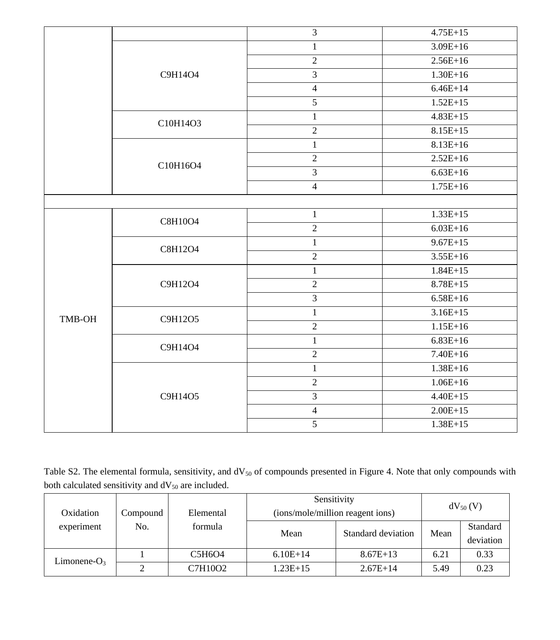|        |          | $\overline{3}$          | $4.75E+15$   |
|--------|----------|-------------------------|--------------|
|        |          | $\,1\,$                 | $3.09E+16$   |
|        |          | $\overline{2}$          | $2.56E+16$   |
|        | C9H14O4  | $\overline{3}$          | $1.30E+16$   |
|        |          | $\overline{4}$          | $6.46E+14$   |
|        |          | $\sqrt{5}$              | $1.52E+15$   |
|        | C10H14O3 | $\mathbf{1}$            | $4.83E+15$   |
|        |          | $\sqrt{2}$              | $8.15E+15$   |
|        |          | $1\,$                   | $8.13E+16$   |
|        | C10H16O4 | $\overline{2}$          | $2.52E+16$   |
|        |          | $\overline{3}$          | $6.63E+16$   |
|        |          | $\overline{4}$          | $1.75E+16$   |
|        |          |                         |              |
|        | C8H10O4  | $\mathbf{1}$            | $1.33E+15$   |
|        |          | $\sqrt{2}$              | $6.03E+16$   |
|        | C8H12O4  | $\mathbf{1}$            | $9.67E + 15$ |
|        |          | $\sqrt{2}$              | $3.55E+16$   |
|        |          | $\mathbf{1}$            | $1.84E+15$   |
|        | C9H12O4  | $\overline{2}$          | $8.78E + 15$ |
|        |          | $\overline{\mathbf{3}}$ | $6.58E+16$   |
| TMB-OH | C9H12O5  | $\mathbf{1}$            | $3.16E+15$   |
|        |          | $\sqrt{2}$              | $1.15E+16$   |
|        | C9H14O4  | $\mathbf{1}$            | $6.83E+16$   |
|        |          | $\sqrt{2}$              | $7.40E+16$   |
|        |          | $\mathbf{1}$            | $1.38E+16$   |
|        |          | $\overline{2}$          | $1.06E+16$   |
|        | C9H14O5  | $\overline{3}$          | $4.40E + 15$ |
|        |          | $\overline{4}$          | $2.00E+15$   |
|        |          | $\overline{5}$          | $1.38E + 15$ |
|        |          |                         |              |

Table S2. The elemental formula, sensitivity, and dV<sub>50</sub> of compounds presented in Figure 4. Note that only compounds with both calculated sensitivity and  $dV_{50}$  are included.

| Oxidation       | Compound | Elemental | Sensitivity<br>(ions/mole/million reagent ions) |                    | $dV_{50} (V)$ |                       |
|-----------------|----------|-----------|-------------------------------------------------|--------------------|---------------|-----------------------|
| experiment      | No.      | formula   | Mean                                            | Standard deviation | Mean          | Standard<br>deviation |
| Limonene- $O_3$ |          | C5H6O4    | $6.10E+14$                                      | $8.67E+13$         | 6.21          | 0.33                  |
|                 |          | C7H10O2   | $1.23E+15$                                      | $2.67E+14$         | 5.49          | 0.23                  |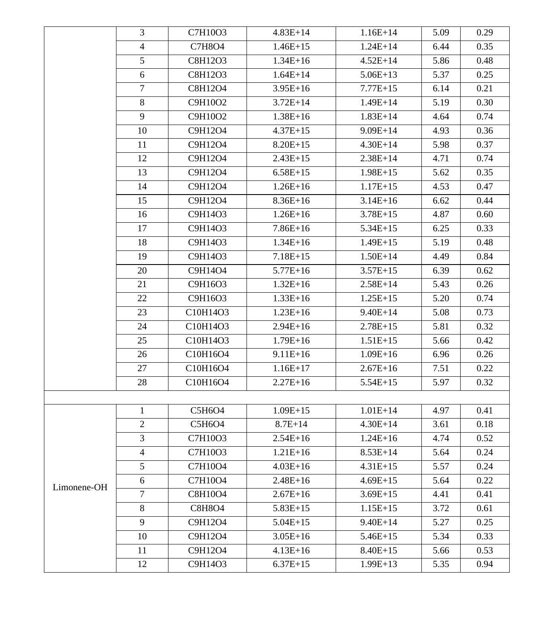|             | 3              | C7H10O3       | $4.83E+14$   | $1.16E+14$   | 5.09 | 0.29 |
|-------------|----------------|---------------|--------------|--------------|------|------|
|             | $\overline{4}$ | C7H8O4        | $1.46E+15$   | $1.24E + 14$ | 6.44 | 0.35 |
|             | 5              | C8H12O3       | $1.34E+16$   | $4.52E+14$   | 5.86 | 0.48 |
|             | 6              | C8H12O3       | $1.64E+14$   | $5.06E+13$   | 5.37 | 0.25 |
|             | $\tau$         | C8H12O4       | $3.95E+16$   | $7.77E+15$   | 6.14 | 0.21 |
|             | 8              | C9H10O2       | $3.72E+14$   | $1.49E + 14$ | 5.19 | 0.30 |
|             | 9              | C9H10O2       | $1.38E + 16$ | $1.83E+14$   | 4.64 | 0.74 |
|             | 10             | C9H12O4       | $4.37E+15$   | $9.09E + 14$ | 4.93 | 0.36 |
|             | 11             | C9H12O4       | $8.20E + 15$ | $4.30E + 14$ | 5.98 | 0.37 |
|             | 12             | C9H12O4       | $2.43E+15$   | $2.38E+14$   | 4.71 | 0.74 |
|             | 13             | C9H12O4       | $6.58E+15$   | $1.98E+15$   | 5.62 | 0.35 |
|             | 14             | C9H12O4       | $1.26E+16$   | $1.17E+15$   | 4.53 | 0.47 |
|             | 15             | C9H12O4       | $8.36E+16$   | $3.14E+16$   | 6.62 | 0.44 |
|             | 16             | C9H14O3       | $1.26E+16$   | $3.78E + 15$ | 4.87 | 0.60 |
|             | 17             | C9H14O3       | $7.86E+16$   | $5.34E+15$   | 6.25 | 0.33 |
|             | 18             | C9H14O3       | $1.34E+16$   | $1.49E+15$   | 5.19 | 0.48 |
|             | 19             | C9H14O3       | $7.18E+15$   | $1.50E+14$   | 4.49 | 0.84 |
|             | 20             | C9H14O4       | $5.77E+16$   | $3.57E+15$   | 6.39 | 0.62 |
|             | 21             | C9H16O3       | $1.32E+16$   | $2.58E+14$   | 5.43 | 0.26 |
|             | 22             | C9H16O3       | $1.33E+16$   | $1.25E+15$   | 5.20 | 0.74 |
|             | 23             | C10H14O3      | $1.23E+16$   | $9.40E + 14$ | 5.08 | 0.73 |
|             | 24             | C10H14O3      | $2.94E+16$   | $2.78E+15$   | 5.81 | 0.32 |
|             | 25             | C10H14O3      | $1.79E + 16$ | $1.51E+15$   | 5.66 | 0.42 |
|             | 26             | C10H16O4      | $9.11E + 16$ | $1.09E + 16$ | 6.96 | 0.26 |
|             | 27             | C10H16O4      | $1.16E+17$   | $2.67E+16$   | 7.51 | 0.22 |
|             | 28             | C10H16O4      | $2.27E+16$   | $5.54E+15$   | 5.97 | 0.32 |
|             |                |               |              |              |      |      |
|             | 1              | C5H6O4        | $1.09E+15$   | $1.01E+14$   | 4.97 | 0.41 |
|             | $\overline{2}$ | C5H6O4        | $8.7E + 14$  | $4.30E + 14$ | 3.61 | 0.18 |
|             | $\overline{3}$ | C7H10O3       | $2.54E+16$   | $1.24E+16$   | 4.74 | 0.52 |
|             | 4              | C7H10O3       | $1.21E+16$   | $8.53E+14$   | 5.64 | 0.24 |
|             | 5              | C7H10O4       | $4.03E+16$   | $4.31E+15$   | 5.57 | 0.24 |
| Limonene-OH | 6              | C7H10O4       | $2.48E+16$   | $4.69E+15$   | 5.64 | 0.22 |
|             | $\overline{7}$ | C8H10O4       | $2.67E+16$   | $3.69E+15$   | 4.41 | 0.41 |
|             | 8              | <b>C8H8O4</b> | $5.83E+15$   | $1.15E+15$   | 3.72 | 0.61 |
|             | 9              | C9H12O4       | $5.04E+15$   | $9.40E + 14$ | 5.27 | 0.25 |
|             | 10             | C9H12O4       | $3.05E+16$   | $5.46E+15$   | 5.34 | 0.33 |
|             | 11             | C9H12O4       | $4.13E+16$   | $8.40E+15$   | 5.66 | 0.53 |
|             | 12             | C9H14O3       | $6.37E+15$   | $1.99E+13$   | 5.35 | 0.94 |